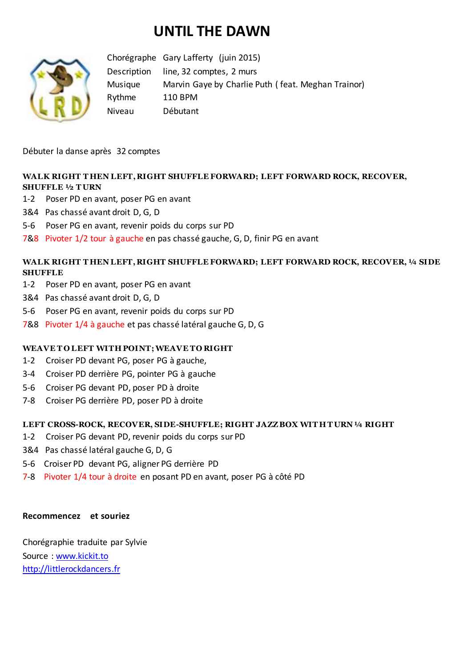# **UNTIL THE DAWN**



Chorégraphe Gary Lafferty (juin 2015) Description line, 32 comptes, 2 murs Musique Marvin Gaye by Charlie Puth ( feat. Meghan Trainor) Rythme 110 BPM Niveau Débutant

Débuter la danse après 32 comptes

## **WALK RIGHT T HEN LEFT, RIGHT SHUFFLE FORWARD; LEFT FORWARD ROCK, RECOVER, SHUFFLE ½ T URN**

- 1-2 Poser PD en avant, poser PG en avant
- 3&4 Pas chassé avant droit D, G, D
- 5-6 Poser PG en avant, revenir poids du corps sur PD
- 7&8 Pivoter 1/2 tour à gauche en pas chassé gauche, G, D, finir PG en avant

### **WALK RIGHT T HEN LEFT, RIGHT SHUFFLE FORWARD; LEFT FORWARD ROCK, RECOVER, ¼ SIDE SHUFFLE**

- 1-2 Poser PD en avant, poser PG en avant
- 3&4 Pas chassé avant droit D, G, D
- 5-6 Poser PG en avant, revenir poids du corps sur PD
- 7&8 Pivoter 1/4 à gauche et pas chassé latéral gauche G, D, G

#### WEAVE TO LEFT WITH POINT; WEAVE TO RIGHT

- 1-2 Croiser PD devant PG, poser PG à gauche,
- 3-4 Croiser PD derrière PG, pointer PG à gauche
- 5-6 Croiser PG devant PD, poser PD à droite
- 7-8 Croiser PG derrière PD, poser PD à droite

#### **LEFT CROSS-ROCK, RECOVER, SIDE-SHUFFLE; RIGHT JAZZ BOX WIT H T URN ¼ RIGHT**

- 1-2 Croiser PG devant PD, revenir poids du corps sur PD
- 3&4 Pas chassé latéral gauche G, D, G
- 5-6 Croiser PD devant PG, aligner PG derrière PD
- 7-8 Pivoter 1/4 tour à droite en posant PD en avant, poser PG à côté PD

#### **Recommencez et souriez**

Chorégraphie traduite par Sylvie Source : [www.kickit.to](http://www.kickit.to/) [http://littlerockdancers.fr](http://littlerockdancers.fr/)